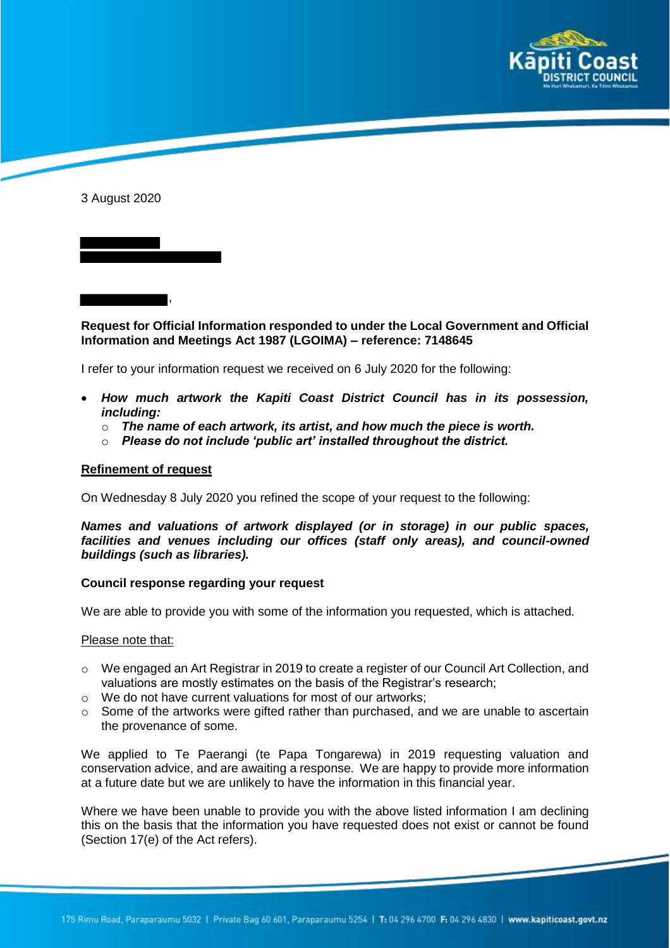

3 August 2020

**Request for Official Information responded to under the Local Government and Official Information and Meetings Act 1987 (LGOIMA) – reference: 7148645**

I refer to your information request we received on 6 July 2020 for the following:

- *How much artwork the Kapiti Coast District Council has in its possession, including:*
	- $\circ$  The name of each artwork, its artist, and how much the piece is worth.
	- o *Please do not include 'public art' installed throughout the district.*

## **Refinement of request**

,

On Wednesday 8 July 2020 you refined the scope of your request to the following:

*Names and valuations of artwork displayed (or in storage) in our public spaces, facilities and venues including our offices (staff only areas), and council-owned buildings (such as libraries).*

## **Council response regarding your request**

We are able to provide you with some of the information you requested, which is attached.

## Please note that:

- o We engaged an Art Registrar in 2019 to create a register of our Council Art Collection, and valuations are mostly estimates on the basis of the Registrar's research;
- o We do not have current valuations for most of our artworks;
- $\circ$  Some of the artworks were gifted rather than purchased, and we are unable to ascertain the provenance of some.

We applied to Te Paerangi (te Papa Tongarewa) in 2019 requesting valuation and conservation advice, and are awaiting a response. We are happy to provide more information at a future date but we are unlikely to have the information in this financial year.

Where we have been unable to provide you with the above listed information I am declining this on the basis that the information you have requested does not exist or cannot be found (Section 17(e) of the Act refers).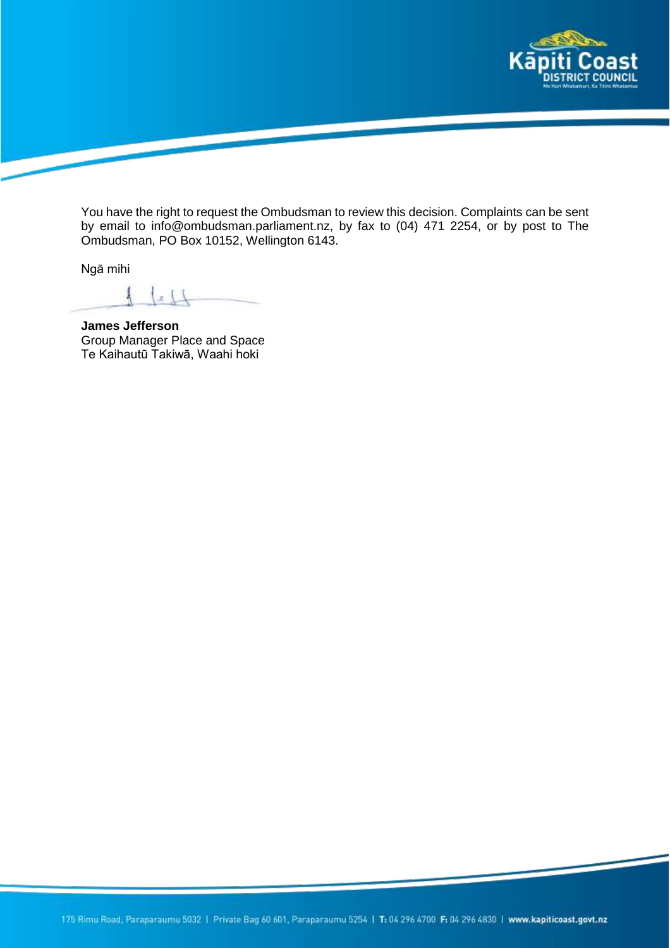

You have the right to request the Ombudsman to review this decision. Complaints can be sent by email to info@ombudsman.parliament.nz, by fax to (04) 471 2254, or by post to The Ombudsman, PO Box 10152, Wellington 6143.

Ngā mihi

 $\frac{1}{2}$ 

**James Jefferson** Group Manager Place and Space Te Kaihautū Takiwā, Waahi hoki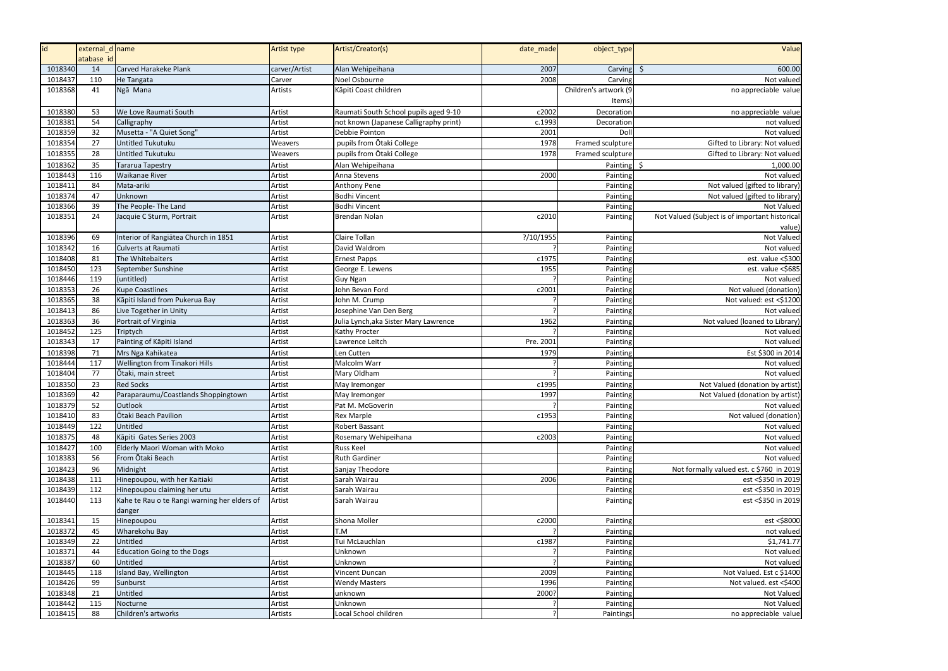| id      | external d name |                                              | Artist type   | Artist/Creator(s)                      | date_made | object_type           | Value                                          |
|---------|-----------------|----------------------------------------------|---------------|----------------------------------------|-----------|-----------------------|------------------------------------------------|
|         | atabase id      |                                              |               |                                        |           |                       |                                                |
| 1018340 | 14              | Carved Harakeke Plank                        | carver/Artist | Alan Wehipeihana                       | 2007      | Carving $\frac{1}{2}$ | 600.00                                         |
| 1018437 | 110             | He Tangata                                   | Carver        | Noel Osbourne                          | 2008      | Carving               | Not valued                                     |
| 1018368 | 41              | Ngā Mana                                     | Artists       | Kāpiti Coast children                  |           | Children's artwork (9 | no appreciable value                           |
|         |                 |                                              |               |                                        |           | ltems)                |                                                |
| 1018380 | 53              | We Love Raumati South                        | Artist        | Raumati South School pupils aged 9-10  | c2002     | Decoration            | no appreciable value                           |
| 1018381 | 54              | Calligraphy                                  | Artist        | not known (Japanese Calligraphy print) | c.1993    | Decoration            | not valued                                     |
| 1018359 | 32              | Musetta - "A Quiet Song"                     | Artist        | Debbie Pointon                         | 2001      | Doll                  | Not valued                                     |
| 1018354 | 27              | <b>Untitled Tukutuku</b>                     | Weavers       | pupils from Otaki College              | 1978      | Framed sculpture      | Gifted to Library: Not valued                  |
| 1018355 | 28              | <b>Untitled Tukutuku</b>                     | Weavers       | pupils from Otaki College              | 1978      | Framed sculpture      | Gifted to Library: Not valued                  |
| 1018362 | 35              | <b>Tararua Tapestry</b>                      | Artist        | Alan Wehipeihana                       |           | Painting              | \$<br>1,000.00                                 |
| 1018443 | 116             | <b>Waikanae River</b>                        | Artist        | Anna Stevens                           | 2000      | Painting              | Not valued                                     |
| 1018411 | 84              | Mata-ariki                                   | Artist        | Anthony Pene                           |           | Painting              | Not valued (gifted to library)                 |
| 1018374 | 47              | Unknown                                      | Artist        | Bodhi Vincent                          |           | Painting              | Not valued (gifted to library)                 |
| 1018366 | 39              | The People- The Land                         | Artist        | <b>Bodhi Vincent</b>                   |           | Painting              | Not Valued                                     |
| 1018351 | 24              | Jacquie C Sturm, Portrait                    | Artist        | Brendan Nolan                          | c2010     | Painting              | Not Valued (Subject is of important historical |
|         |                 |                                              |               |                                        |           |                       | value                                          |
| 1018396 | 69              | Interior of Rangiātea Church in 1851         | Artist        | Claire Tollan                          | ?/10/1955 | Painting              | Not Valued                                     |
| 1018342 | 16              | <b>Culverts at Raumati</b>                   | Artist        | David Waldrom                          |           | Painting              | Not valued                                     |
| 1018408 | 81              | The Whitebaiters                             | Artist        | <b>Ernest Papps</b>                    | c1975     | Painting              | est. value <\$300                              |
| 1018450 | 123             | September Sunshine                           | Artist        | George E. Lewens                       | 1955      | Painting              | est. value <\$685                              |
| 1018446 | 119             | (untitled)                                   | Artist        | <b>Guy Ngan</b>                        |           | Painting              | Not valued                                     |
| 1018353 | 26              | <b>Kupe Coastlines</b>                       | Artist        | John Bevan Ford                        | c2001     | Painting              | Not valued (donation                           |
| 1018365 | 38              | Kāpiti Island from Pukerua Bay               | Artist        | John M. Crump                          |           | Painting              | Not valued: est <\$1200                        |
| 1018413 | 86              | Live Together in Unity                       | Artist        | Josephine Van Den Berg                 |           | Painting              | Not valued                                     |
| 1018363 | 36              | Portrait of Virginia                         | Artist        | Julia Lynch, aka Sister Mary Lawrence  | 1962      | Painting              | Not valued (loaned to Library                  |
| 1018452 | 125             | Triptych                                     | Artist        | Kathy Procter                          |           | Painting              | Not valued                                     |
| 1018343 | 17              | Painting of Kāpiti Island                    | Artist        | Lawrence Leitch                        | Pre. 2001 | Painting              | Not valued                                     |
| 1018398 | 71              | Mrs Nga Kahikatea                            | Artist        | Len Cutten                             | 1979      | Painting              | Est \$300 in 2014                              |
| 1018444 | 117             | Wellington from Tinakori Hills               | Artist        | Malcolm Warr                           |           | Painting              | Not valued                                     |
| 1018404 | 77              | Ōtaki, main street                           | Artist        | Mary Oldham                            |           | Painting              | Not valued                                     |
| 1018350 | 23              | <b>Red Socks</b>                             | Artist        | May Iremonger                          | c1995     | Painting              | Not Valued (donation by artist)                |
| 1018369 | 42              | Paraparaumu/Coastlands Shoppingtown          | Artist        | May Iremonger                          | 1997      | Painting              | Not Valued (donation by artist)                |
| 1018379 | 52              | Outlook                                      | Artist        | Pat M. McGoverin                       |           | Painting              | Not valued                                     |
| 1018410 | 83              | Ōtaki Beach Pavilion                         | Artist        | Rex Marple                             | c1953     | Painting              | Not valued (donation)                          |
| 1018449 | 122             | Untitled                                     | Artist        | Robert Bassant                         |           | Painting              | Not valued                                     |
| 1018375 | 48              | Kāpiti Gates Series 2003                     | Artist        | Rosemary Wehipeihana                   | c2003     | Painting              | Not valued                                     |
| 1018427 | 100             | Elderly Maori Woman with Moko                | Artist        | Russ Keel                              |           | Painting              | Not valued                                     |
| 1018383 | 56              | From Ōtaki Beach                             | Artist        | <b>Ruth Gardiner</b>                   |           | Painting              | Not valued                                     |
| 1018423 | 96              | Midnight                                     | Artist        | Sanjay Theodore                        |           | Painting              | Not formally valued est. c \$760 in 2019       |
| 1018438 | 111             | Hinepoupou, with her Kaitiaki                | Artist        | Sarah Wairau                           | 2006      | Painting              | est <\$350 in 2019                             |
| 1018439 | 112             | Hinepoupou claiming her utu                  | Artist        | Sarah Wairau                           |           | Painting              | est <\$350 in 2019                             |
| 1018440 | 113             | Kahe te Rau o te Rangi warning her elders of | Artist        | Sarah Wairau                           |           | Painting              | est <\$350 in 2019                             |
|         |                 | danger                                       |               |                                        |           |                       |                                                |
| 1018341 | 15              | Hinepoupou                                   | Artist        | Shona Moller                           | c2000     | Painting              | est <\$8000                                    |
| 1018372 | 45              | Wharekohu Bay                                | Artist        | T.M                                    |           | Painting              | not valued                                     |
| 1018349 | 22              | Untitled                                     | Artist        | Tui McLauchlan                         | c1987     | Painting              | \$1,741.77                                     |
| 1018371 | 44              | <b>Education Going to the Dogs</b>           |               | Unknown                                |           | Painting              | Not valued                                     |
| 1018387 | 60              | Untitled                                     | Artist        | Unknown                                |           | Painting              | Not valued                                     |
| 1018445 | 118             | Island Bay, Wellington                       | Artist        | Vincent Duncan                         | 2009      | Painting              | Not Valued. Est c \$1400                       |
| 1018426 | 99              | Sunburst                                     | Artist        | <b>Wendy Masters</b>                   | 1996      | Painting              | Not valued. est <\$400                         |
| 1018348 | 21              | Untitled                                     | Artist        | unknown                                | 2000?     | Painting              | Not Valued                                     |
| 1018442 | 115             | Nocturne                                     | Artist        | Unknown                                |           | Painting              | Not Valued                                     |
| 1018415 | 88              | Children's artworks                          | Artists       | Local School children                  |           | Paintings             | no appreciable value                           |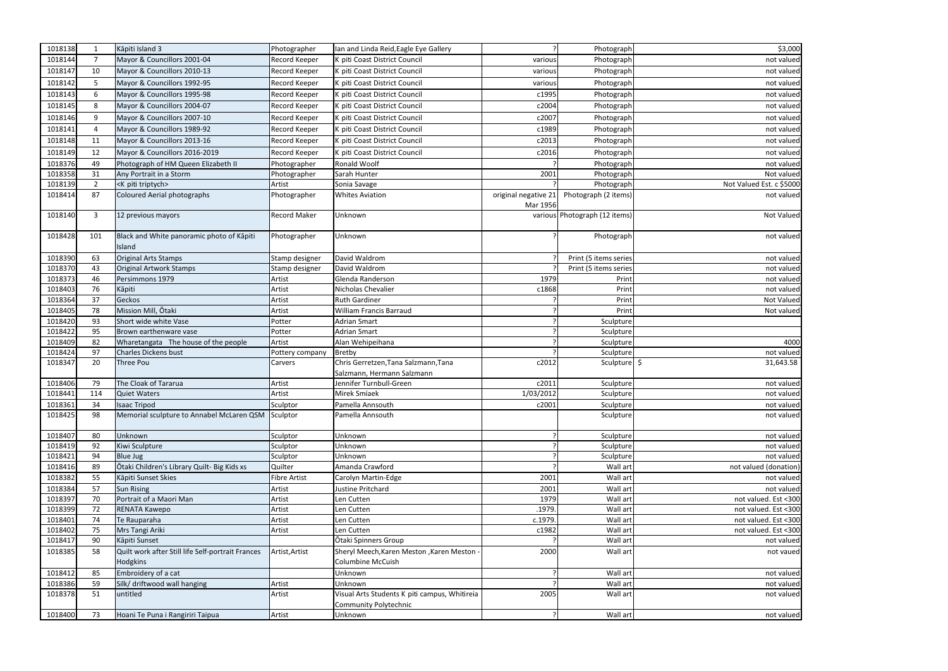| 1018138 | 1<br>$\overline{7}$ | Kāpiti Island 3                                                      | Photographer        | Ian and Linda Reid, Eagle Eye Gallery                         |                      | Photograph                    | \$3,000                  |
|---------|---------------------|----------------------------------------------------------------------|---------------------|---------------------------------------------------------------|----------------------|-------------------------------|--------------------------|
| 1018144 |                     | Mayor & Councillors 2001-04                                          | Record Keeper       | K piti Coast District Council                                 | various              | Photograph                    | not valued               |
| 1018147 | 10                  | Mayor & Councillors 2010-13                                          | Record Keeper       | K piti Coast District Council                                 | various              | Photograph                    | not valued               |
| 1018142 | 5                   | Mayor & Councillors 1992-95                                          | Record Keeper       | K piti Coast District Council                                 | various              | Photograph                    | not valued               |
| 1018143 | 6                   | Mayor & Councillors 1995-98                                          | Record Keeper       | K piti Coast District Council                                 | c1995                | Photograph                    | not valued               |
| 1018145 | 8                   | Mayor & Councillors 2004-07                                          | Record Keeper       | K piti Coast District Council                                 | c2004                | Photograph                    | not valued               |
| 1018146 | q                   | Mayor & Councillors 2007-10                                          | Record Keeper       | K piti Coast District Council                                 | c2007                | Photograph                    | not valued               |
| 1018141 | $\overline{4}$      | Mayor & Councillors 1989-92                                          | Record Keeper       | K piti Coast District Council                                 | c1989                | Photograph                    | not valued               |
| 1018148 | 11                  | Mayor & Councillors 2013-16                                          | Record Keeper       | K piti Coast District Council                                 | c2013                | Photograph                    | not valued               |
| 1018149 | 12                  | Mayor & Councillors 2016-2019                                        | Record Keeper       | K piti Coast District Council                                 | c2016                | Photograph                    | not valued               |
| 1018376 | 49                  | Photograph of HM Queen Elizabeth II                                  | Photographer        | Ronald Woolf                                                  |                      | Photograph                    | not valued               |
| 1018358 | 31                  | Any Portrait in a Storm                                              | Photographer        | Sarah Hunter                                                  | 2001                 | Photograph                    | Not valued               |
| 1018139 | $\overline{2}$      | <k piti="" triptych=""></k>                                          | Artist              | Sonia Savage                                                  |                      | Photograph                    | Not Valued Est. c \$5000 |
| 1018414 | 87                  | <b>Coloured Aerial photographs</b>                                   | Photographer        | <b>Whites Aviation</b>                                        | original negative 21 | Photograph (2 items)          | not valued               |
|         |                     |                                                                      |                     |                                                               | Mar 1956             |                               |                          |
| 1018140 | 3                   | 12 previous mayors                                                   | Record Maker        | Unknown                                                       |                      | various Photograph (12 items) | Not Valued               |
| 1018428 | 101                 | Black and White panoramic photo of Kāpiti<br>Island                  | Photographer        | Unknown                                                       |                      | Photograph                    | not valued               |
| 1018390 | 63                  | <b>Original Arts Stamps</b>                                          | Stamp designer      | David Waldrom                                                 |                      | Print (5 items series         | not valued               |
| 1018370 | 43                  | Original Artwork Stamps                                              | Stamp designer      | David Waldrom                                                 |                      | Print (5 items series         | not valued               |
| 1018373 | 46                  | Persimmons 1979                                                      | Artist              | Glenda Randerson                                              | 1979                 | Print                         | not valued               |
| 1018403 | 76                  | Kāpiti                                                               | Artist              | Nicholas Chevalier                                            | c1868                | Print                         | not valued               |
| 1018364 | 37                  | Geckos                                                               | Artist              | <b>Ruth Gardiner</b>                                          |                      | Print                         | Not Valued               |
| 1018405 | 78                  | Mission Mill, Ōtaki                                                  | Artist              | <b>William Francis Barraud</b>                                |                      | Print                         | Not valued               |
| 1018420 | 93                  | Short wide white Vase                                                | Potter              | <b>Adrian Smart</b>                                           |                      | Sculpture                     |                          |
| 1018422 | 95                  | Brown earthenware vase                                               | Potter              | <b>Adrian Smart</b>                                           |                      | Sculpture                     |                          |
| 1018409 | 82                  | Wharetangata The house of the people                                 | Artist              | Alan Wehipeihana                                              |                      | Sculpture                     | 4000                     |
| 1018424 | 97                  | Charles Dickens bust                                                 | Pottery company     | Bretby                                                        |                      | Sculpture                     | not valued               |
| 1018347 | 20                  | Three Pou                                                            | Carvers             | Chris Gerretzen, Tana Salzmann, Tana                          | c2012                | Sculpture \$                  | 31,643.58                |
|         |                     |                                                                      |                     | Salzmann, Hermann Salzmann                                    |                      |                               |                          |
| 1018406 | 79                  | The Cloak of Tararua                                                 | Artist              | Jennifer Turnbull-Green                                       | c2011                | Sculpture                     | not valued               |
| 1018441 | 114                 | <b>Quiet Waters</b>                                                  | Artist              | Mirek Smíaek                                                  | 1/03/2012            | Sculpture                     | not valued               |
| 1018361 | 34                  | <b>Isaac Tripod</b>                                                  | Sculptor            | Pamella Annsouth                                              | c2001                | Sculpture                     | not valued               |
| 1018425 | 98                  | Memorial sculpture to Annabel McLaren QSM                            | Sculptor            | Pamella Annsouth                                              |                      | Sculpture                     | not valued               |
| 1018407 | 80                  | Unknown                                                              | Sculptor            | Unknown                                                       |                      | Sculpture                     | not valued               |
| 1018419 | 92                  | Kiwi Sculpture                                                       | Sculptor            | Unknown                                                       |                      | Sculpture                     | not valued               |
| 1018421 | 94                  | <b>Blue Jug</b>                                                      | Sculptor            | Unknown                                                       |                      | Sculpture                     | not valued               |
| 1018416 | 89                  | Ōtaki Children's Library Quilt- Big Kids xs                          | Quilter             | Amanda Crawford                                               |                      | Wall art                      | not valued (donation)    |
| 1018382 | 55                  | Kāpiti Sunset Skies                                                  | <b>Fibre Artist</b> | Carolyn Martin-Edge                                           | 2001                 | Wall art                      | not valued               |
| 1018384 | 57                  | <b>Sun Rising</b>                                                    | Artist              | Justine Pritchard                                             | 2001                 | Wall art                      | not valued               |
| 1018397 | 70                  | Portrait of a Maori Man                                              | Artist              | Len Cutten                                                    | 1979                 | Wall art                      | not valued. Est <300     |
| 1018399 | 72                  | RENATA Kawepo                                                        | Artist              | Len Cutten                                                    | .1979.               | Wall art                      | not valued. Est <300     |
| 1018401 | 74                  | Te Rauparaha                                                         | Artist              | Len Cutten                                                    | c.1979.              | Wall art                      | not valued. Est <300     |
| 1018402 | 75                  | Mrs Tangi Ariki                                                      | Artist              | Len Cutten                                                    | c1982                | Wall art                      | not valued. Est <300     |
| 1018417 | 90                  | Kāpiti Sunset                                                        |                     | Ōtaki Spinners Group                                          |                      | Wall art                      | not valued               |
| 1018385 | 58                  | Quilt work after Still life Self-portrait Frances<br><b>Hodgkins</b> | Artist, Artist      | Sheryl Meech, Karen Meston, Karen Meston<br>Columbine McCuish | 2000                 | Wall art                      | not vaued                |
| 1018412 | 85                  | Embroidery of a cat                                                  |                     | Unknown                                                       | 2                    | Wall art                      | not valued               |
| 1018386 | 59                  | Silk/ driftwood wall hanging                                         | Artist              | Unknown                                                       |                      | Wall art                      | not valued               |
| 1018378 | 51                  | untitled                                                             | Artist              | Visual Arts Students K piti campus, Whitireia                 | 2005                 | Wall art                      | not valued               |
|         |                     |                                                                      |                     | <b>Community Polytechnic</b>                                  |                      |                               |                          |
| 1018400 | 73                  | Hoani Te Puna i Rangiriri Taipua                                     | Artist              | Unknown                                                       |                      | Wall art                      | not valued               |
|         |                     |                                                                      |                     |                                                               |                      |                               |                          |